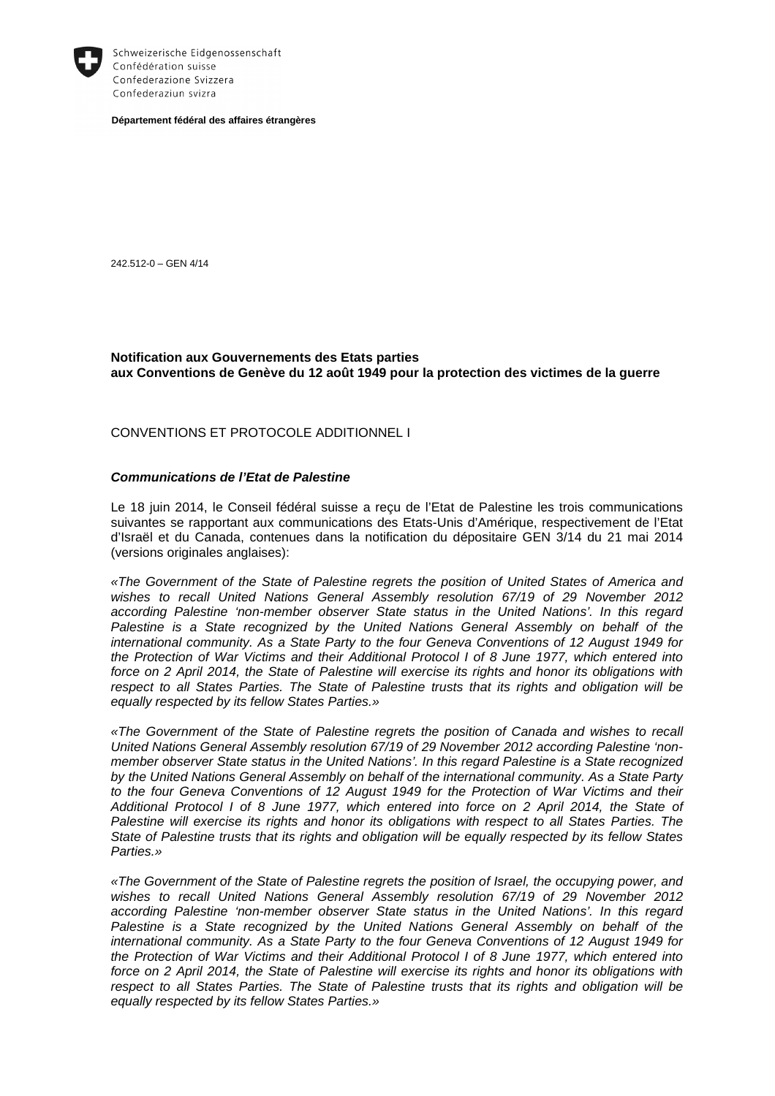

Schweizerische Eidgenossenschaft Confédération suisse Confederazione Svizzera Confederaziun svizra

**Département fédéral des affaires étrangères** 

242.512-0 – GEN 4/14

## **Notification aux Gouvernements des Etats parties aux Conventions de Genève du 12 août 1949 pour la protection des victimes de la guerre**

CONVENTIONS ET PROTOCOLE ADDITIONNEL I

## **Communications de l'Etat de Palestine**

Le 18 juin 2014, le Conseil fédéral suisse a reçu de l'Etat de Palestine les trois communications suivantes se rapportant aux communications des Etats-Unis d'Amérique, respectivement de l'Etat d'Israël et du Canada, contenues dans la notification du dépositaire GEN 3/14 du 21 mai 2014 (versions originales anglaises):

«The Government of the State of Palestine regrets the position of United States of America and wishes to recall United Nations General Assembly resolution 67/19 of 29 November 2012 according Palestine 'non-member observer State status in the United Nations'. In this regard Palestine is a State recognized by the United Nations General Assembly on behalf of the international community. As a State Party to the four Geneva Conventions of 12 August 1949 for the Protection of War Victims and their Additional Protocol I of 8 June 1977, which entered into force on 2 April 2014, the State of Palestine will exercise its rights and honor its obligations with respect to all States Parties. The State of Palestine trusts that its rights and obligation will be equally respected by its fellow States Parties.»

«The Government of the State of Palestine regrets the position of Canada and wishes to recall United Nations General Assembly resolution 67/19 of 29 November 2012 according Palestine 'nonmember observer State status in the United Nations'. In this regard Palestine is a State recognized by the United Nations General Assembly on behalf of the international community. As a State Party to the four Geneva Conventions of 12 August 1949 for the Protection of War Victims and their Additional Protocol I of 8 June 1977, which entered into force on 2 April 2014, the State of Palestine will exercise its rights and honor its obligations with respect to all States Parties. The State of Palestine trusts that its rights and obligation will be equally respected by its fellow States Parties.»

«The Government of the State of Palestine regrets the position of Israel, the occupying power, and wishes to recall United Nations General Assembly resolution 67/19 of 29 November 2012 according Palestine 'non-member observer State status in the United Nations'. In this regard Palestine is a State recognized by the United Nations General Assembly on behalf of the international community. As a State Party to the four Geneva Conventions of 12 August 1949 for the Protection of War Victims and their Additional Protocol I of 8 June 1977, which entered into force on 2 April 2014, the State of Palestine will exercise its rights and honor its obligations with respect to all States Parties. The State of Palestine trusts that its rights and obligation will be equally respected by its fellow States Parties.»